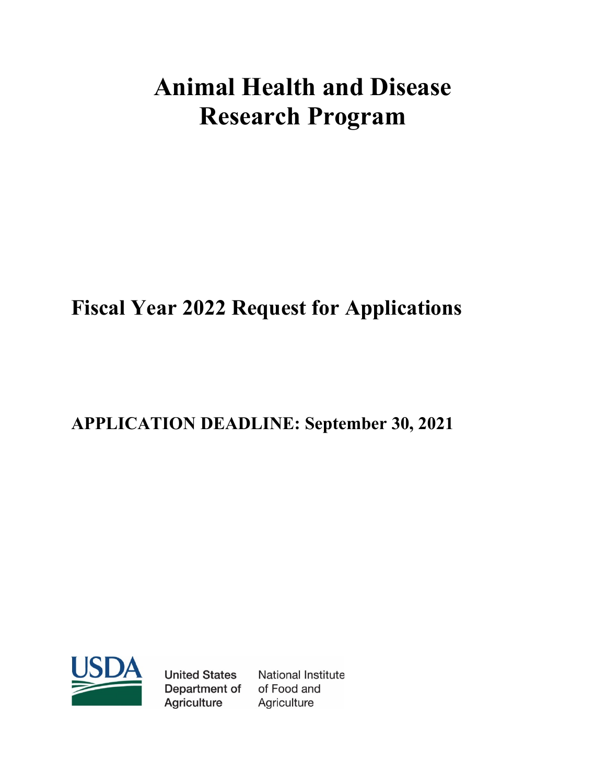# **Animal Health and Disease Research Program**

## **Fiscal Year 2022 Request for Applications**

## **APPLICATION DEADLINE: September 30, 2021**



**United States** Department of **Agriculture** 

National Institute of Food and Agriculture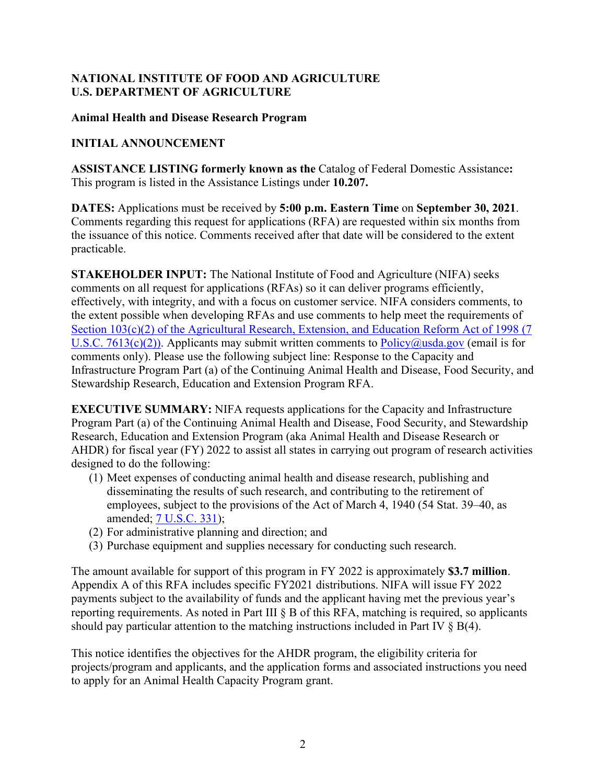#### **NATIONAL INSTITUTE OF FOOD AND AGRICULTURE U.S. DEPARTMENT OF AGRICULTURE**

#### **Animal Health and Disease Research Program**

#### **INITIAL ANNOUNCEMENT**

**ASSISTANCE LISTING formerly known as the** Catalog of Federal Domestic Assistance**:** This program is listed in the Assistance Listings under **10.207.**

**DATES:** Applications must be received by **5:00 p.m. Eastern Time** on **September 30, 2021**. Comments regarding this request for applications (RFA) are requested within six months from the issuance of this notice. Comments received after that date will be considered to the extent practicable.

**STAKEHOLDER INPUT:** The National Institute of Food and Agriculture (NIFA) seeks comments on all request for applications (RFAs) so it can deliver programs efficiently, effectively, with integrity, and with a focus on customer service. NIFA considers comments, to the extent possible when developing RFAs and use comments to help meet the requirements of Section 103(c)(2) of the Agricultural Research, Extension, and Education Reform Act of 1998 (7 [U.S.C. 7613\(c\)\(2\)\).](https://uscode.house.gov/view.xhtml?req=(title:7%20section:7613%20edition:prelim)%20OR%20(granuleid:USC-prelim-title7-section7613)&f=treesort&edition=prelim&num=0&jumpTo=true) Applicants may submit written comments to  $Policy@usda.gov$  (email is for comments only). Please use the following subject line: Response to the Capacity and Infrastructure Program Part (a) of the Continuing Animal Health and Disease, Food Security, and Stewardship Research, Education and Extension Program RFA.

**EXECUTIVE SUMMARY:** NIFA requests applications for the Capacity and Infrastructure Program Part (a) of the Continuing Animal Health and Disease, Food Security, and Stewardship Research, Education and Extension Program (aka Animal Health and Disease Research or AHDR) for fiscal year (FY) 2022 to assist all states in carrying out program of research activities designed to do the following:

- (1) Meet expenses of conducting animal health and disease research, publishing and disseminating the results of such research, and contributing to the retirement of employees, subject to the provisions of the Act of March 4, 1940 (54 Stat. 39–40, as amended; [7 U.S.C. 331\)](https://uscode.house.gov/view.xhtml?req=(title:7%20section:331%20edition:prelim)%20OR%20(granuleid:USC-prelim-title7-section331)&f=treesort&edition=prelim&num=0&jumpTo=true);
- (2) For administrative planning and direction; and
- (3) Purchase equipment and supplies necessary for conducting such research.

The amount available for support of this program in FY 2022 is approximately **\$3.7 million**. Appendix A of this RFA includes specific FY2021 distributions. NIFA will issue FY 2022 payments subject to the availability of funds and the applicant having met the previous year's reporting requirements. As noted in Part III § B of this RFA, matching is required, so applicants should pay particular attention to the matching instructions included in Part IV  $\S$  B(4).

This notice identifies the objectives for the AHDR program, the eligibility criteria for projects/program and applicants, and the application forms and associated instructions you need to apply for an Animal Health Capacity Program grant.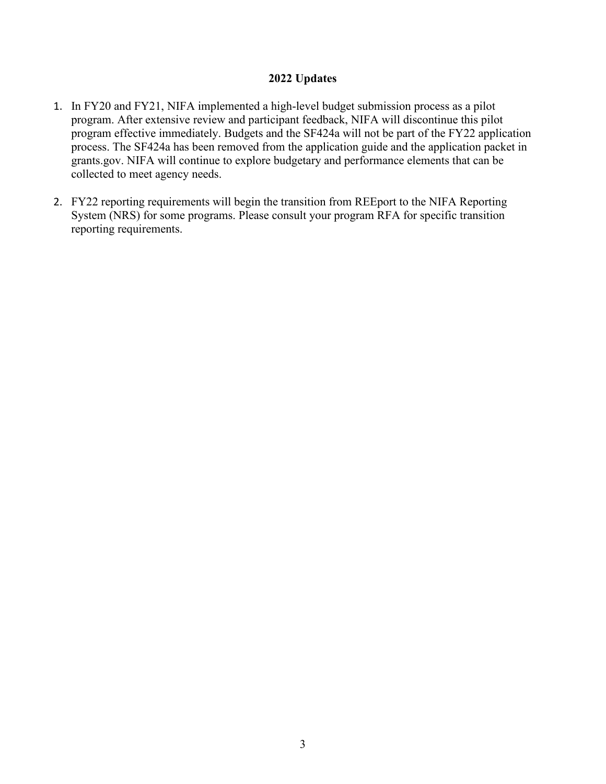#### **2022 Updates**

- 1. In FY20 and FY21, NIFA implemented a high-level budget submission process as a pilot program. After extensive review and participant feedback, NIFA will discontinue this pilot program effective immediately. Budgets and the SF424a will not be part of the FY22 application process. The SF424a has been removed from the application guide and the application packet in grants.gov. NIFA will continue to explore budgetary and performance elements that can be collected to meet agency needs.
- 2. FY22 reporting requirements will begin the transition from REEport to the NIFA Reporting System (NRS) for some programs. Please consult your program RFA for specific transition reporting requirements.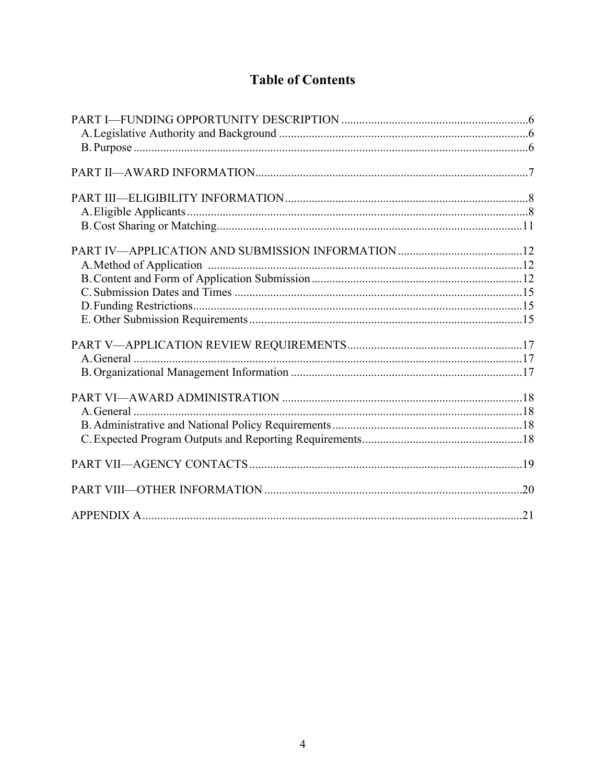### **Table of Contents**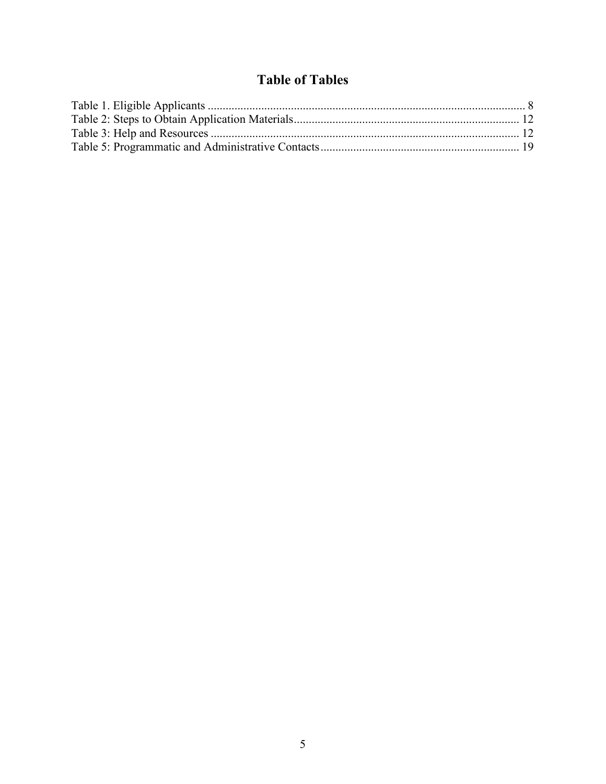### **Table of Tables**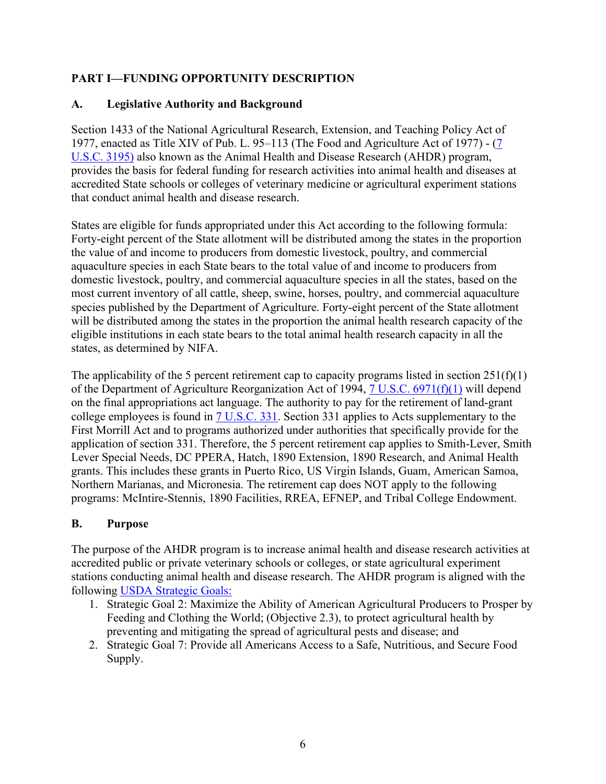#### <span id="page-5-0"></span>**PART I—FUNDING OPPORTUNITY DESCRIPTION**

#### <span id="page-5-1"></span>**A. Legislative Authority and Background**

Section 1433 of the National Agricultural Research, Extension, and Teaching Policy Act of 1977, enacted as Title XIV of Pub. L. 95–113 (The Food and Agriculture Act of 1977) - [\(7](https://uscode.house.gov/view.xhtml?req=granuleid:USC-prelim-title7-section3195&num=0&edition=prelim)  [U.S.C. 3195\)](https://uscode.house.gov/view.xhtml?req=granuleid:USC-prelim-title7-section3195&num=0&edition=prelim) also known as the Animal Health and Disease Research (AHDR) program, provides the basis for federal funding for research activities into animal health and diseases at accredited State schools or colleges of veterinary medicine or agricultural experiment stations that conduct animal health and disease research.

States are eligible for funds appropriated under this Act according to the following formula: Forty-eight percent of the State allotment will be distributed among the states in the proportion the value of and income to producers from domestic livestock, poultry, and commercial aquaculture species in each State bears to the total value of and income to producers from domestic livestock, poultry, and commercial aquaculture species in all the states, based on the most current inventory of all cattle, sheep, swine, horses, poultry, and commercial aquaculture species published by the Department of Agriculture. Forty-eight percent of the State allotment will be distributed among the states in the proportion the animal health research capacity of the eligible institutions in each state bears to the total animal health research capacity in all the states, as determined by NIFA.

The applicability of the 5 percent retirement cap to capacity programs listed in section  $251(f)(1)$ of the Department of Agriculture Reorganization Act of 1994, [7 U.S.C. 6971\(f\)\(1\)](https://uscode.house.gov/view.xhtml?req=(title:7%20section:6971%20edition:prelim)%20OR%20(granuleid:USC-prelim-title7-section6971)&f=treesort&edition=prelim&num=0&jumpTo=true) will depend on the final appropriations act language. The authority to pay for the retirement of land-grant college employees is found in [7 U.S.C. 331.](https://uscode.house.gov/view.xhtml?req=(title:7%20section:331%20edition:prelim)%20OR%20(granuleid:USC-prelim-title7-section331)&f=treesort&edition=prelim&num=0&jumpTo=true) Section 331 applies to Acts supplementary to the First Morrill Act and to programs authorized under authorities that specifically provide for the application of section 331. Therefore, the 5 percent retirement cap applies to Smith-Lever, Smith Lever Special Needs, DC PPERA, Hatch, 1890 Extension, 1890 Research, and Animal Health grants. This includes these grants in Puerto Rico, US Virgin Islands, Guam, American Samoa, Northern Marianas, and Micronesia. The retirement cap does NOT apply to the following programs: McIntire-Stennis, 1890 Facilities, RREA, EFNEP, and Tribal College Endowment.

#### <span id="page-5-2"></span>**B. Purpose**

The purpose of the AHDR program is to increase animal health and disease research activities at accredited public or private veterinary schools or colleges, or state agricultural experiment stations conducting animal health and disease research. The AHDR program is aligned with the following [USDA Strategic Goals:](https://www.usda.gov/sites/default/files/documents/usda-strategic-plan-2018-2022.pdf) 

- 1. Strategic Goal 2: Maximize the Ability of American Agricultural Producers to Prosper by Feeding and Clothing the World; (Objective 2.3), to protect agricultural health by preventing and mitigating the spread of agricultural pests and disease; and
- 2. Strategic Goal 7: Provide all Americans Access to a Safe, Nutritious, and Secure Food Supply.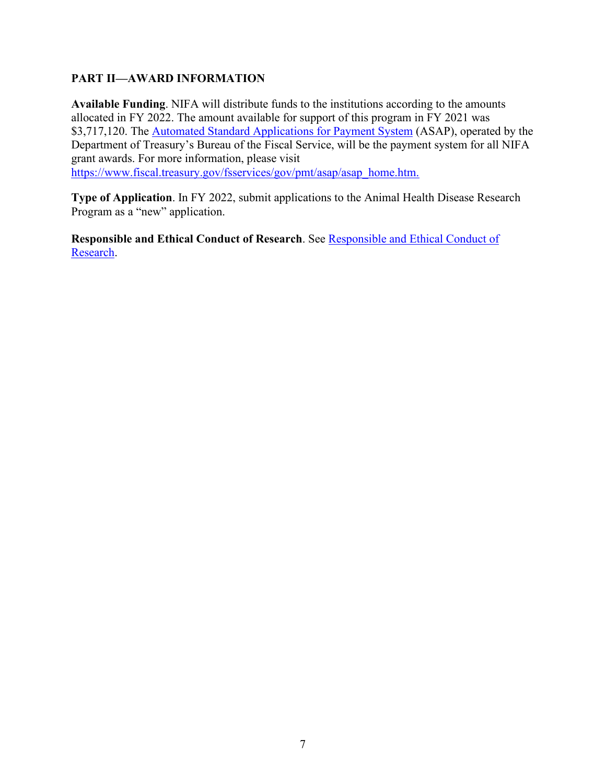#### <span id="page-6-0"></span>**PART II—AWARD INFORMATION**

**Available Funding**. NIFA will distribute funds to the institutions according to the amounts allocated in FY 2022. The amount available for support of this program in FY 2021 was \$3,717,120. The [Automated Standard Applications for Payment System](https://www.fiscal.treasury.gov/asap/) (ASAP), operated by the Department of Treasury's Bureau of the Fiscal Service, will be the payment system for all NIFA grant awards. For more information, please visit [https://www.fiscal.treasury.gov/fsservices/gov/pmt/asap/asap\\_home.htm.](https://www.fiscal.treasury.gov/fsservices/gov/pmt/asap/asap_home.htm.)

**Type of Application**. In FY 2022, submit applications to the Animal Health Disease Research Program as a "new" application.

**Responsible and Ethical Conduct of Research**. See Responsible and Ethical Conduct of [Research.](https://nifa.usda.gov/responsible-and-ethical-conduct-research)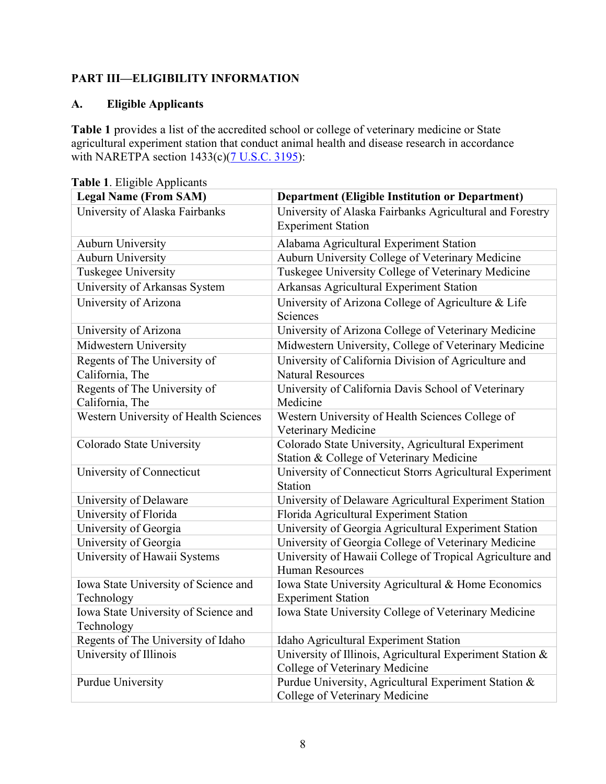#### <span id="page-7-0"></span>**PART III—ELIGIBILITY INFORMATION**

#### <span id="page-7-1"></span>**A. Eligible Applicants**

**Table 1** provides a list of the accredited school or college of veterinary medicine or State agricultural experiment station that conduct animal health and disease research in accordance with NARETPA section  $1433(c)(7 U.S.C. 3195)$  $1433(c)(7 U.S.C. 3195)$ :

| <b>rabic</b> 1. Engloic Applicatits<br><b>Legal Name (From SAM)</b> | <b>Department (Eligible Institution or Department)</b>                                         |
|---------------------------------------------------------------------|------------------------------------------------------------------------------------------------|
| University of Alaska Fairbanks                                      | University of Alaska Fairbanks Agricultural and Forestry                                       |
|                                                                     | <b>Experiment Station</b>                                                                      |
| <b>Auburn University</b>                                            | Alabama Agricultural Experiment Station                                                        |
| <b>Auburn University</b>                                            | Auburn University College of Veterinary Medicine                                               |
| Tuskegee University                                                 | Tuskegee University College of Veterinary Medicine                                             |
| University of Arkansas System                                       | Arkansas Agricultural Experiment Station                                                       |
| University of Arizona                                               | University of Arizona College of Agriculture & Life<br>Sciences                                |
| University of Arizona                                               | University of Arizona College of Veterinary Medicine                                           |
| Midwestern University                                               | Midwestern University, College of Veterinary Medicine                                          |
| Regents of The University of<br>California, The                     | University of California Division of Agriculture and<br><b>Natural Resources</b>               |
| Regents of The University of                                        | University of California Davis School of Veterinary                                            |
| California, The                                                     | Medicine                                                                                       |
| Western University of Health Sciences                               | Western University of Health Sciences College of                                               |
|                                                                     | Veterinary Medicine                                                                            |
| Colorado State University                                           | Colorado State University, Agricultural Experiment<br>Station & College of Veterinary Medicine |
| University of Connecticut                                           | University of Connecticut Storrs Agricultural Experiment<br>Station                            |
| University of Delaware                                              | University of Delaware Agricultural Experiment Station                                         |
| University of Florida                                               | Florida Agricultural Experiment Station                                                        |
| University of Georgia                                               | University of Georgia Agricultural Experiment Station                                          |
| University of Georgia                                               | University of Georgia College of Veterinary Medicine                                           |
| University of Hawaii Systems                                        | University of Hawaii College of Tropical Agriculture and                                       |
|                                                                     | <b>Human Resources</b>                                                                         |
| Iowa State University of Science and                                | Iowa State University Agricultural & Home Economics                                            |
| Technology                                                          | <b>Experiment Station</b>                                                                      |
| Iowa State University of Science and                                | Iowa State University College of Veterinary Medicine                                           |
| Technology                                                          |                                                                                                |
| Regents of The University of Idaho                                  | Idaho Agricultural Experiment Station                                                          |
| University of Illinois                                              | University of Illinois, Agricultural Experiment Station &<br>College of Veterinary Medicine    |
| <b>Purdue University</b>                                            | Purdue University, Agricultural Experiment Station &<br>College of Veterinary Medicine         |

<span id="page-7-2"></span>**Table 1**. Eligible Applicants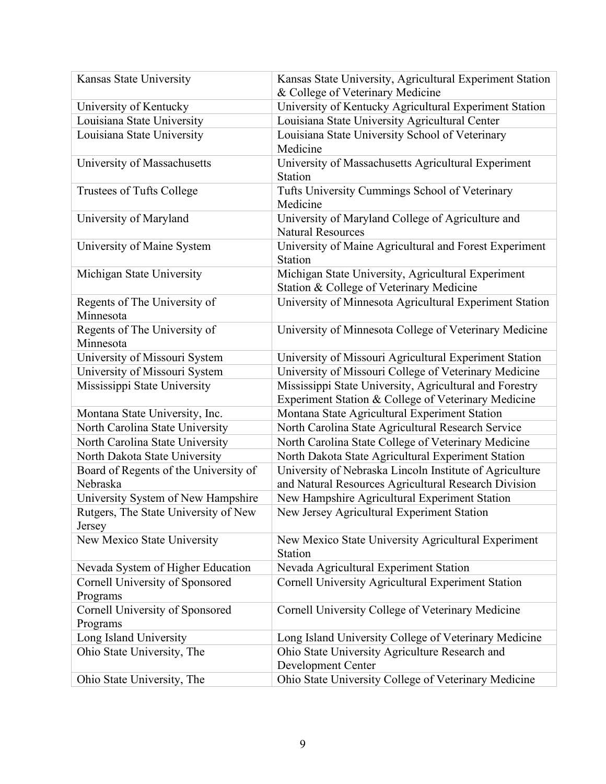| Kansas State University               | Kansas State University, Agricultural Experiment Station |
|---------------------------------------|----------------------------------------------------------|
|                                       | & College of Veterinary Medicine                         |
| University of Kentucky                | University of Kentucky Agricultural Experiment Station   |
| Louisiana State University            | Louisiana State University Agricultural Center           |
| Louisiana State University            | Louisiana State University School of Veterinary          |
|                                       | Medicine                                                 |
| University of Massachusetts           | University of Massachusetts Agricultural Experiment      |
|                                       | Station                                                  |
| Trustees of Tufts College             | Tufts University Cummings School of Veterinary           |
|                                       | Medicine                                                 |
| University of Maryland                | University of Maryland College of Agriculture and        |
|                                       | <b>Natural Resources</b>                                 |
| University of Maine System            | University of Maine Agricultural and Forest Experiment   |
|                                       | Station                                                  |
| Michigan State University             | Michigan State University, Agricultural Experiment       |
|                                       | Station & College of Veterinary Medicine                 |
| Regents of The University of          | University of Minnesota Agricultural Experiment Station  |
| Minnesota                             |                                                          |
| Regents of The University of          | University of Minnesota College of Veterinary Medicine   |
| Minnesota                             |                                                          |
| University of Missouri System         | University of Missouri Agricultural Experiment Station   |
| University of Missouri System         | University of Missouri College of Veterinary Medicine    |
| Mississippi State University          | Mississippi State University, Agricultural and Forestry  |
|                                       | Experiment Station & College of Veterinary Medicine      |
| Montana State University, Inc.        | Montana State Agricultural Experiment Station            |
| North Carolina State University       | North Carolina State Agricultural Research Service       |
| North Carolina State University       | North Carolina State College of Veterinary Medicine      |
| North Dakota State University         | North Dakota State Agricultural Experiment Station       |
| Board of Regents of the University of | University of Nebraska Lincoln Institute of Agriculture  |
| Nebraska                              | and Natural Resources Agricultural Research Division     |
| University System of New Hampshire    | New Hampshire Agricultural Experiment Station            |
| Rutgers, The State University of New  | New Jersey Agricultural Experiment Station               |
| Jersey                                |                                                          |
| New Mexico State University           | New Mexico State University Agricultural Experiment      |
|                                       | Station                                                  |
| Nevada System of Higher Education     | Nevada Agricultural Experiment Station                   |
| Cornell University of Sponsored       | Cornell University Agricultural Experiment Station       |
| Programs                              |                                                          |
| Cornell University of Sponsored       | Cornell University College of Veterinary Medicine        |
| Programs                              |                                                          |
| Long Island University                | Long Island University College of Veterinary Medicine    |
| Ohio State University, The            | Ohio State University Agriculture Research and           |
|                                       | Development Center                                       |
| Ohio State University, The            | Ohio State University College of Veterinary Medicine     |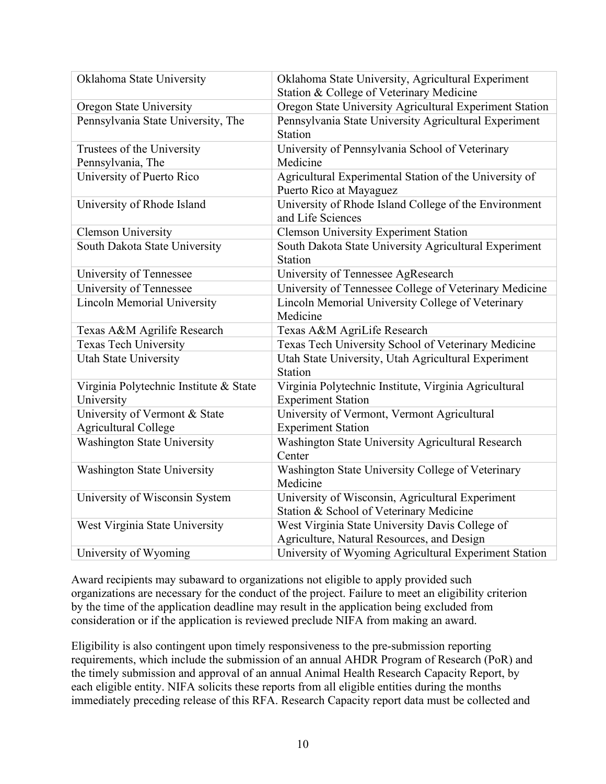| Oklahoma State University              | Oklahoma State University, Agricultural Experiment                         |
|----------------------------------------|----------------------------------------------------------------------------|
|                                        | Station & College of Veterinary Medicine                                   |
| Oregon State University                | Oregon State University Agricultural Experiment Station                    |
| Pennsylvania State University, The     | Pennsylvania State University Agricultural Experiment                      |
|                                        | <b>Station</b>                                                             |
| Trustees of the University             | University of Pennsylvania School of Veterinary                            |
| Pennsylvania, The                      | Medicine                                                                   |
| University of Puerto Rico              | Agricultural Experimental Station of the University of                     |
|                                        | Puerto Rico at Mayaguez                                                    |
| University of Rhode Island             | University of Rhode Island College of the Environment<br>and Life Sciences |
| <b>Clemson University</b>              | <b>Clemson University Experiment Station</b>                               |
| South Dakota State University          | South Dakota State University Agricultural Experiment                      |
|                                        | Station                                                                    |
| University of Tennessee                | University of Tennessee AgResearch                                         |
| University of Tennessee                | University of Tennessee College of Veterinary Medicine                     |
| <b>Lincoln Memorial University</b>     | Lincoln Memorial University College of Veterinary                          |
|                                        | Medicine                                                                   |
| Texas A&M Agrilife Research            | Texas A&M AgriLife Research                                                |
| <b>Texas Tech University</b>           | Texas Tech University School of Veterinary Medicine                        |
| <b>Utah State University</b>           | Utah State University, Utah Agricultural Experiment                        |
|                                        | Station                                                                    |
| Virginia Polytechnic Institute & State | Virginia Polytechnic Institute, Virginia Agricultural                      |
| University                             | <b>Experiment Station</b>                                                  |
| University of Vermont & State          | University of Vermont, Vermont Agricultural                                |
| <b>Agricultural College</b>            | <b>Experiment Station</b>                                                  |
| <b>Washington State University</b>     | Washington State University Agricultural Research                          |
|                                        | Center                                                                     |
| <b>Washington State University</b>     | Washington State University College of Veterinary                          |
|                                        | Medicine                                                                   |
| University of Wisconsin System         | University of Wisconsin, Agricultural Experiment                           |
|                                        | Station & School of Veterinary Medicine                                    |
| West Virginia State University         | West Virginia State University Davis College of                            |
|                                        | Agriculture, Natural Resources, and Design                                 |
| University of Wyoming                  | University of Wyoming Agricultural Experiment Station                      |

Award recipients may subaward to organizations not eligible to apply provided such organizations are necessary for the conduct of the project. Failure to meet an eligibility criterion by the time of the application deadline may result in the application being excluded from consideration or if the application is reviewed preclude NIFA from making an award.

Eligibility is also contingent upon timely responsiveness to the pre-submission reporting requirements, which include the submission of an annual AHDR Program of Research (PoR) and the timely submission and approval of an annual Animal Health Research Capacity Report, by each eligible entity. NIFA solicits these reports from all eligible entities during the months immediately preceding release of this RFA. Research Capacity report data must be collected and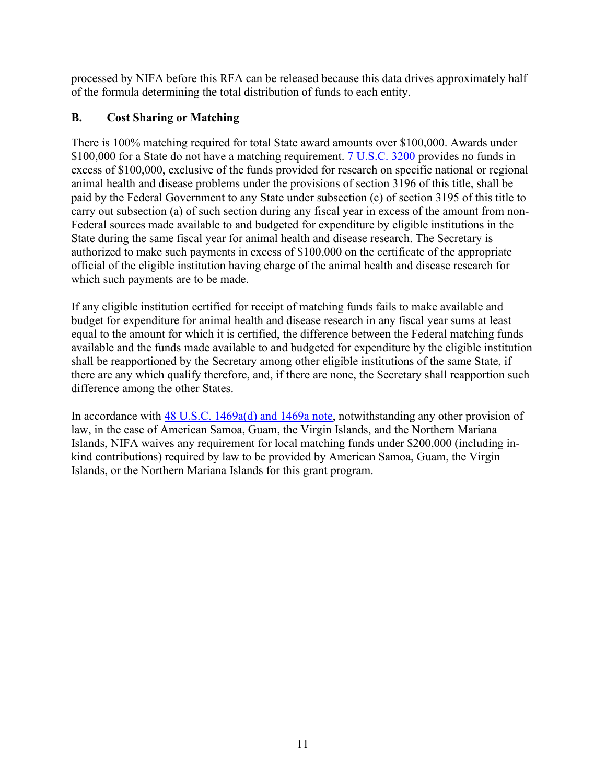processed by NIFA before this RFA can be released because this data drives approximately half of the formula determining the total distribution of funds to each entity.

#### <span id="page-10-0"></span>**B. Cost Sharing or Matching**

There is 100% matching required for total State award amounts over \$100,000. Awards under \$100,000 for a State do not have a matching requirement. **7 U.S.C. 3200** provides no funds in excess of \$100,000, exclusive of the funds provided for research on specific national or regional animal health and disease problems under the provisions of section 3196 of this title, shall be paid by the Federal Government to any State under subsection (c) of section 3195 of this title to carry out subsection (a) of such section during any fiscal year in excess of the amount from non-Federal sources made available to and budgeted for expenditure by eligible institutions in the State during the same fiscal year for animal health and disease research. The Secretary is authorized to make such payments in excess of \$100,000 on the certificate of the appropriate official of the eligible institution having charge of the animal health and disease research for which such payments are to be made.

If any eligible institution certified for receipt of matching funds fails to make available and budget for expenditure for animal health and disease research in any fiscal year sums at least equal to the amount for which it is certified, the difference between the Federal matching funds available and the funds made available to and budgeted for expenditure by the eligible institution shall be reapportioned by the Secretary among other eligible institutions of the same State, if there are any which qualify therefore, and, if there are none, the Secretary shall reapportion such difference among the other States.

In accordance with [48 U.S.C. 1469a\(d\) and 1469a note,](https://uscode.house.gov/view.xhtml?req=(title:48%20section:1469a%20edition:prelim)%20OR%20(granuleid:USC-prelim-title48-section1469a)&f=treesort&edition=prelim&num=0&jumpTo=true) notwithstanding any other provision of law, in the case of American Samoa, Guam, the Virgin Islands, and the Northern Mariana Islands, NIFA waives any requirement for local matching funds under \$200,000 (including inkind contributions) required by law to be provided by American Samoa, Guam, the Virgin Islands, or the Northern Mariana Islands for this grant program.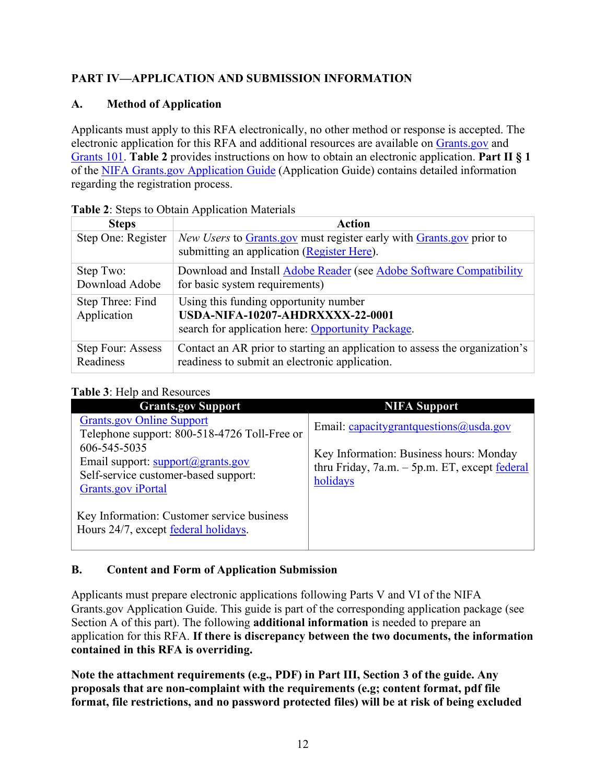#### <span id="page-11-0"></span>**PART IV—APPLICATION AND SUBMISSION INFORMATION**

#### <span id="page-11-1"></span>**A. Method of Application**

Applicants must apply to this RFA electronically, no other method or response is accepted. The electronic application for this RFA and additional resources are available on [Grants.gov](https://www.grants.gov/) and [Grants 101.](https://www.grants.gov/web/grants/learn-grants/grants-101/pre-award-phase.html/) **Table 2** provides instructions on how to obtain an electronic application. **Part II § 1** of the [NIFA Grants.gov Application Guide](https://nifa.usda.gov/resource/nifa-grantsgov-application-guide-location) (Application Guide) contains detailed information regarding the registration process.

| <b>Steps</b>       | <b>Action</b>                                                                                                      |
|--------------------|--------------------------------------------------------------------------------------------------------------------|
| Step One: Register | New Users to Grants.gov must register early with Grants.gov prior to<br>submitting an application (Register Here). |
| Step Two:          | Download and Install Adobe Reader (see Adobe Software Compatibility                                                |
| Download Adobe     | for basic system requirements)                                                                                     |
| Step Three: Find   | Using this funding opportunity number                                                                              |
| Application        | USDA-NIFA-10207-AHDRXXXX-22-0001                                                                                   |
|                    | search for application here: Opportunity Package.                                                                  |
| Step Four: Assess  | Contact an AR prior to starting an application to assess the organization's                                        |
| Readiness          | readiness to submit an electronic application.                                                                     |

<span id="page-11-3"></span>

|  |  | Table 2: Steps to Obtain Application Materials |
|--|--|------------------------------------------------|
|--|--|------------------------------------------------|

#### <span id="page-11-4"></span>**Table 3**: Help and Resources

| $\sim$ 0.010 0.11010 0.110.110000.11000                                                                                                                                                                    |                                                                                                                                                   |
|------------------------------------------------------------------------------------------------------------------------------------------------------------------------------------------------------------|---------------------------------------------------------------------------------------------------------------------------------------------------|
| <b>Grants.gov Support</b>                                                                                                                                                                                  | <b>NIFA Support</b>                                                                                                                               |
| <b>Grants.gov Online Support</b><br>Telephone support: 800-518-4726 Toll-Free or<br>606-545-5035<br>Email support: support@grants.gov<br>Self-service customer-based support:<br><b>Grants.gov</b> iPortal | Email: capacitygrantquestions@usda.gov<br>Key Information: Business hours: Monday<br>thru Friday, $7a.m. - 5p.m. ET$ , except federal<br>holidays |
| Key Information: Customer service business<br>Hours 24/7, except federal holidays.                                                                                                                         |                                                                                                                                                   |

#### <span id="page-11-2"></span>**B. Content and Form of Application Submission**

Applicants must prepare electronic applications following Parts V and VI of the NIFA Grants.gov Application Guide. This guide is part of the corresponding application package (see Section A of this part). The following **additional information** is needed to prepare an application for this RFA. **If there is discrepancy between the two documents, the information contained in this RFA is overriding.** 

**Note the attachment requirements (e.g., PDF) in Part III, Section 3 of the guide. Any proposals that are non-complaint with the requirements (e.g; content format, pdf file format, file restrictions, and no password protected files) will be at risk of being excluded**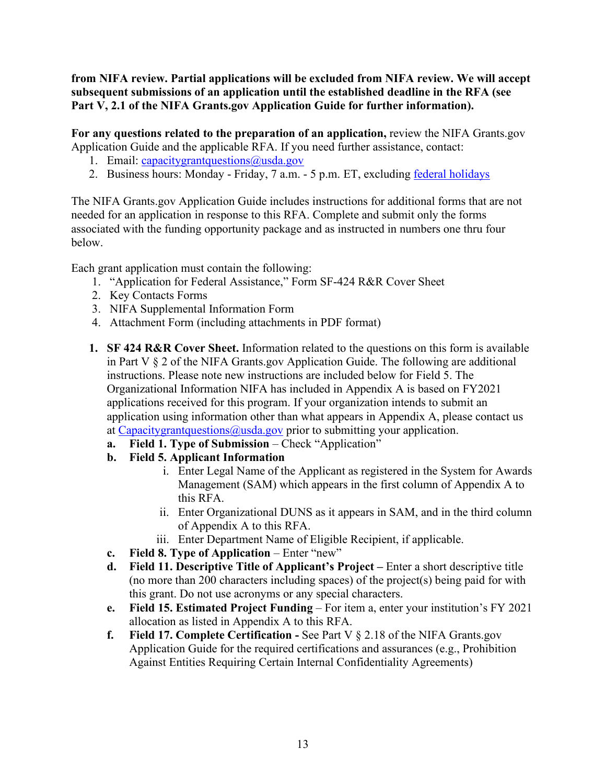**from NIFA review. Partial applications will be excluded from NIFA review. We will accept subsequent submissions of an application until the established deadline in the RFA (see**  Part V, 2.1 of the NIFA Grants.gov Application Guide for further information).

**For any questions related to the preparation of an application,** review the NIFA Grants.gov Application Guide and the applicable RFA. If you need further assistance, contact:

- 1. Email: capacitygrantquestions  $\omega$ usda.gov
- 2. Business hours: Monday Friday, 7 a.m. 5 p.m. ET, excluding [federal holidays](https://www.opm.gov/policy-data-oversight/snow-dismissal-procedures/federal-holidays/)

The NIFA Grants.gov Application Guide includes instructions for additional forms that are not needed for an application in response to this RFA. Complete and submit only the forms associated with the funding opportunity package and as instructed in numbers one thru four below.

Each grant application must contain the following:

- 1. "Application for Federal Assistance," Form SF-424 R&R Cover Sheet
- 2. Key Contacts Forms
- 3. NIFA Supplemental Information Form
- 4. Attachment Form (including attachments in PDF format)
- **1. SF 424 R&R Cover Sheet.** Information related to the questions on this form is available in Part V § 2 of the NIFA Grants.gov Application Guide. The following are additional instructions. Please note new instructions are included below for Field 5. The Organizational Information NIFA has included in Appendix A is based on FY2021 applications received for this program. If your organization intends to submit an application using information other than what appears in Appendix A, please contact us at Capacitygrant questions  $@$  usda.gov prior to submitting your application.
	- **a. Field 1. Type of Submission** Check "Application"
	- **b. Field 5. Applicant Information** 
		- i. Enter Legal Name of the Applicant as registered in the System for Awards Management (SAM) which appears in the first column of Appendix A to this RFA.
		- ii. Enter Organizational DUNS as it appears in SAM, and in the third column of Appendix A to this RFA.
		- iii. Enter Department Name of Eligible Recipient, if applicable.
	- **c.** Field 8. Type of Application Enter "new"
	- **d. Field 11. Descriptive Title of Applicant's Project** Enter a short descriptive title (no more than 200 characters including spaces) of the project(s) being paid for with this grant. Do not use acronyms or any special characters.
	- **e. Field 15. Estimated Project Funding**  For item a, enter your institution's FY 2021 allocation as listed in Appendix A to this RFA.
	- **f. Field 17. Complete Certification** See Part V § 2.18 of the NIFA Grants.gov Application Guide for the required certifications and assurances (e.g., Prohibition Against Entities Requiring Certain Internal Confidentiality Agreements)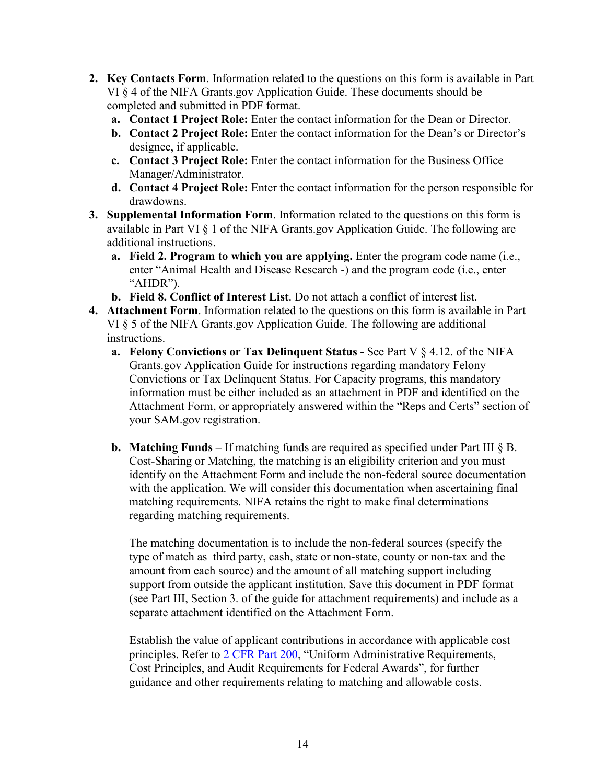- **2. Key Contacts Form**. Information related to the questions on this form is available in Part VI § 4 of the NIFA Grants.gov Application Guide. These documents should be completed and submitted in PDF format.
	- **a. Contact 1 Project Role:** Enter the contact information for the Dean or Director.
	- **b. Contact 2 Project Role:** Enter the contact information for the Dean's or Director's designee, if applicable.
	- **c. Contact 3 Project Role:** Enter the contact information for the Business Office Manager/Administrator.
	- **d. Contact 4 Project Role:** Enter the contact information for the person responsible for drawdowns.
- **3. Supplemental Information Form**. Information related to the questions on this form is available in Part VI § 1 of the NIFA Grants.gov Application Guide. The following are additional instructions.
	- **a. Field 2. Program to which you are applying.** Enter the program code name (i.e., enter "Animal Health and Disease Research -) and the program code (i.e., enter "AHDR").
	- **b. Field 8. Conflict of Interest List**. Do not attach a conflict of interest list.
- **4. Attachment Form**. Information related to the questions on this form is available in Part VI § 5 of the NIFA Grants.gov Application Guide. The following are additional instructions.
	- **a. Felony Convictions or Tax Delinquent Status** See Part V § 4.12. of the NIFA Grants.gov Application Guide for instructions regarding mandatory Felony Convictions or Tax Delinquent Status. For Capacity programs, this mandatory information must be either included as an attachment in PDF and identified on the Attachment Form, or appropriately answered within the "Reps and Certs" section of your SAM.gov registration.
	- **b. Matching Funds** If matching funds are required as specified under Part III § B. Cost-Sharing or Matching, the matching is an eligibility criterion and you must identify on the Attachment Form and include the non-federal source documentation with the application. We will consider this documentation when ascertaining final matching requirements. NIFA retains the right to make final determinations regarding matching requirements.

The matching documentation is to include the non-federal sources (specify the type of match as third party, cash, state or non-state, county or non-tax and the amount from each source) and the amount of all matching support including support from outside the applicant institution. Save this document in PDF format (see Part III, Section 3. of the guide for attachment requirements) and include as a separate attachment identified on the Attachment Form.

Establish the value of applicant contributions in accordance with applicable cost principles. Refer to [2 CFR Part 200,](https://www.ecfr.gov/cgi-bin/text-idx?SID=be2b35c6d07c7a09cb267e0c5fc1bc3b&mc=true&node=pt2.1.200&rgn=div5) "Uniform Administrative Requirements, Cost Principles, and Audit Requirements for Federal Awards", for further guidance and other requirements relating to matching and allowable costs.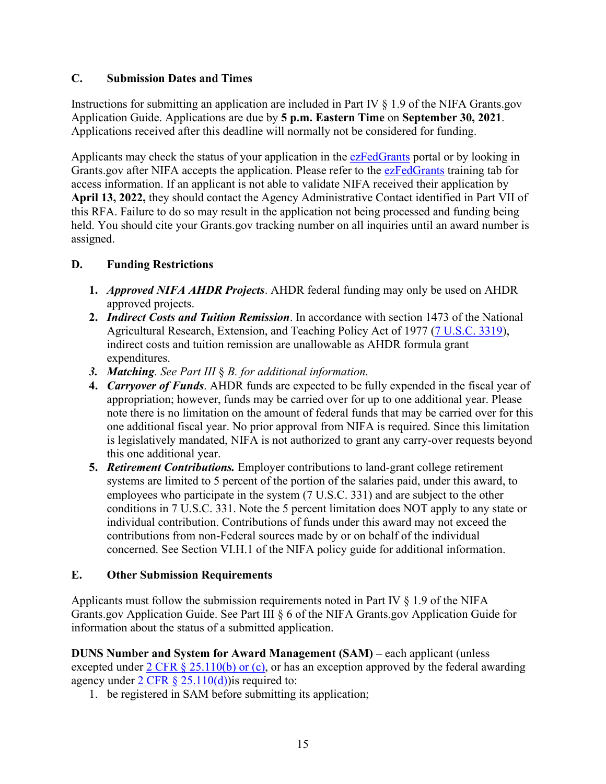#### <span id="page-14-0"></span>**C. Submission Dates and Times**

Instructions for submitting an application are included in Part IV § 1.9 of the NIFA Grants.gov Application Guide. Applications are due by **5 p.m. Eastern Time** on **September 30, 2021**. Applications received after this deadline will normally not be considered for funding.

Applicants may check the status of your application in the [ezFedGrants](https://www.nfc.usda.gov/FSS/ClientServices/ezFedGrants/) portal or by looking in Grants.gov after NIFA accepts the application. Please refer to the [ezFedGrants](https://www.nfc.usda.gov/FSS/ClientServices/ezFedGrants/) training tab for access information. If an applicant is not able to validate NIFA received their application by **April 13, 2022,** they should contact the Agency Administrative Contact identified in Part VII of this RFA. Failure to do so may result in the application not being processed and funding being held. You should cite your Grants.gov tracking number on all inquiries until an award number is assigned.

#### <span id="page-14-1"></span>**D. Funding Restrictions**

- **1.** *Approved NIFA AHDR Projects*. AHDR federal funding may only be used on AHDR approved projects.
- **2.** *Indirect Costs and Tuition Remission*. In accordance with section 1473 of the National Agricultural Research, Extension, and Teaching Policy Act of 1977 [\(7 U.S.C. 3319\)](https://uscode.house.gov/view.xhtml?req=(title:7%20section:3319%20edition:prelim)%20OR%20(granuleid:USC-prelim-title7-section3319)&f=treesort&edition=prelim&num=0&jumpTo=true), indirect costs and tuition remission are unallowable as AHDR formula grant expenditures.
- *3. Matching. See Part III* § *B. for additional information.*
- **4.** *Carryover of Funds*. AHDR funds are expected to be fully expended in the fiscal year of appropriation; however, funds may be carried over for up to one additional year. Please note there is no limitation on the amount of federal funds that may be carried over for this one additional fiscal year. No prior approval from NIFA is required. Since this limitation is legislatively mandated, NIFA is not authorized to grant any carry-over requests beyond this one additional year.
- **5.** *Retirement Contributions.* Employer contributions to land-grant college retirement systems are limited to 5 percent of the portion of the salaries paid, under this award, to employees who participate in the system (7 U.S.C. 331) and are subject to the other conditions in 7 U.S.C. 331. Note the 5 percent limitation does NOT apply to any state or individual contribution. Contributions of funds under this award may not exceed the contributions from non-Federal sources made by or on behalf of the individual concerned. See Section VI.H.1 of the NIFA policy guide for additional information.

#### <span id="page-14-2"></span>**E. Other Submission Requirements**

Applicants must follow the submission requirements noted in Part IV § 1.9 of the NIFA Grants.gov Application Guide. See Part III § 6 of the NIFA Grants.gov Application Guide for information about the status of a submitted application.

**DUNS Number and System for Award Management (SAM) – each applicant (unless)** excepted under  $2 \text{ CFR } \frac{8}{9}$  25.110(b) or (c), or has an exception approved by the federal awarding agency under 2 CFR  $\S$  25.110(d)) is required to:

1. be registered in SAM before submitting its application;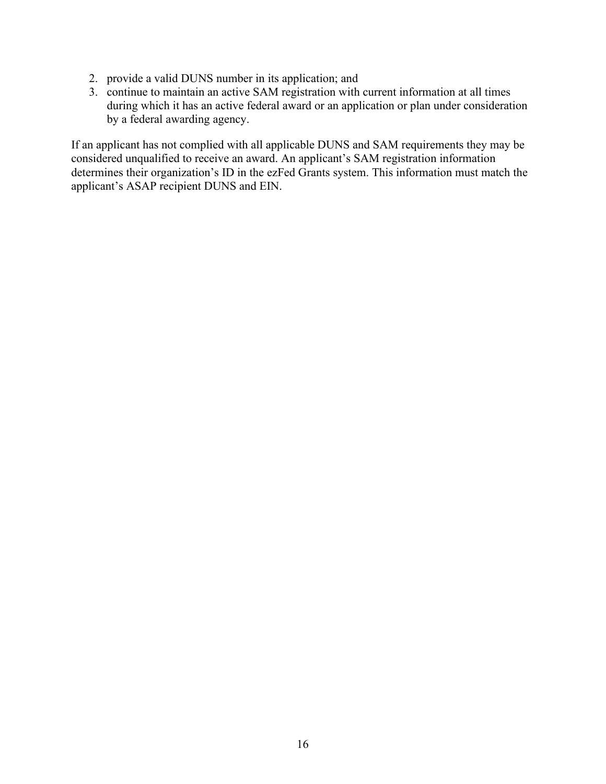- 2. provide a valid DUNS number in its application; and
- 3. continue to maintain an active SAM registration with current information at all times during which it has an active federal award or an application or plan under consideration by a federal awarding agency.

If an applicant has not complied with all applicable DUNS and SAM requirements they may be considered unqualified to receive an award. An applicant's SAM registration information determines their organization's ID in the ezFed Grants system. This information must match the applicant's ASAP recipient DUNS and EIN.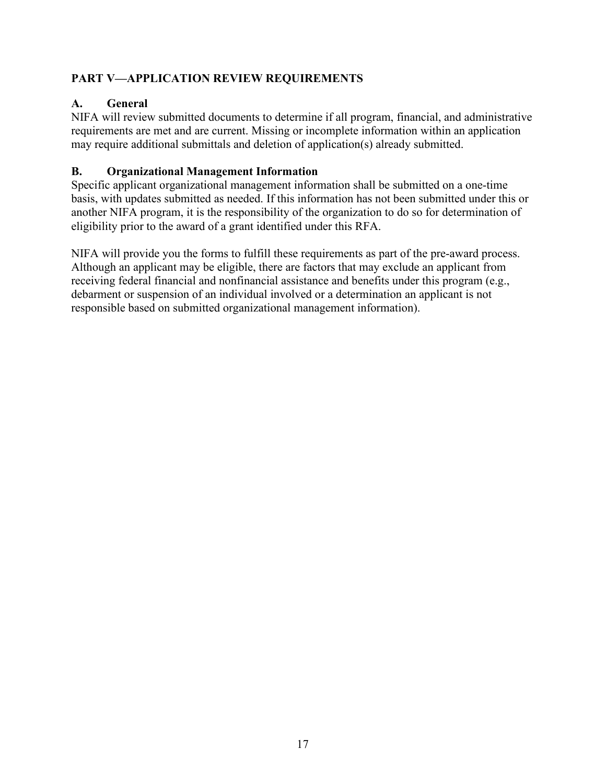#### <span id="page-16-0"></span>**PART V—APPLICATION REVIEW REQUIREMENTS**

#### <span id="page-16-1"></span>**A. General**

NIFA will review submitted documents to determine if all program, financial, and administrative requirements are met and are current. Missing or incomplete information within an application may require additional submittals and deletion of application(s) already submitted.

#### <span id="page-16-2"></span>**B. Organizational Management Information**

Specific applicant organizational management information shall be submitted on a one-time basis, with updates submitted as needed. If this information has not been submitted under this or another NIFA program, it is the responsibility of the organization to do so for determination of eligibility prior to the award of a grant identified under this RFA.

NIFA will provide you the forms to fulfill these requirements as part of the pre-award process. Although an applicant may be eligible, there are factors that may exclude an applicant from receiving federal financial and nonfinancial assistance and benefits under this program (e.g., debarment or suspension of an individual involved or a determination an applicant is not responsible based on submitted organizational management information).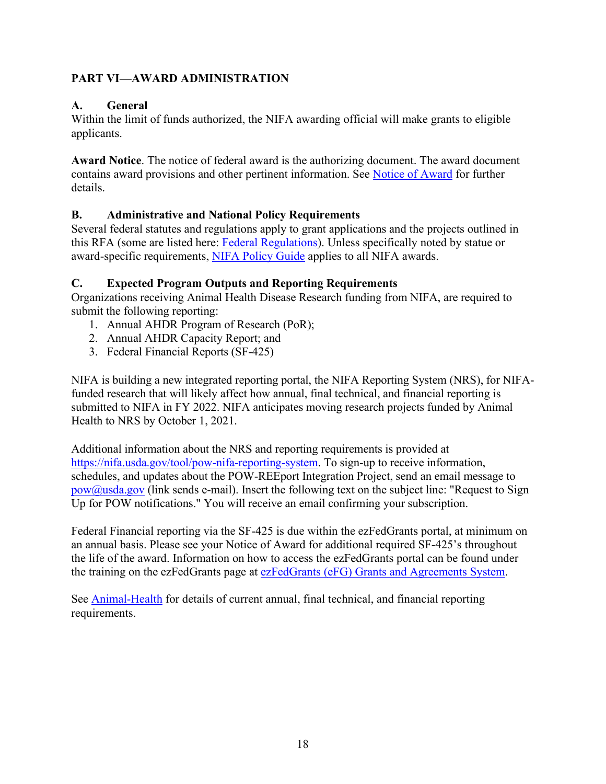#### <span id="page-17-0"></span>**PART VI—AWARD ADMINISTRATION**

#### <span id="page-17-1"></span>**A. General**

Within the limit of funds authorized, the NIFA awarding official will make grants to eligible applicants.

**Award Notice**. The notice of federal award is the authorizing document. The award document contains award provisions and other pertinent information. See [Notice of Award](https://nifa.usda.gov/wait-notification) for further details.

#### <span id="page-17-2"></span>**B. Administrative and National Policy Requirements**

Several federal statutes and regulations apply to grant applications and the projects outlined in this RFA (some are listed here: [Federal Regulations\)](https://nifa.usda.gov/federal-regulations). Unless specifically noted by statue or award-specific requirements, [NIFA Policy Guide](https://nifa.usda.gov/policy-guide) applies to all NIFA awards.

#### <span id="page-17-3"></span>**C. Expected Program Outputs and Reporting Requirements**

Organizations receiving Animal Health Disease Research funding from NIFA, are required to submit the following reporting:

- 1. Annual AHDR Program of Research (PoR);
- 2. Annual AHDR Capacity Report; and
- 3. Federal Financial Reports (SF-425)

NIFA is building a new integrated reporting portal, the NIFA Reporting System (NRS), for NIFAfunded research that will likely affect how annual, final technical, and financial reporting is submitted to NIFA in FY 2022. NIFA anticipates moving research projects funded by Animal Health to NRS by October 1, 2021.

Additional information about the NRS and reporting requirements is provided at [https://nifa.usda.gov/tool/pow-nifa-reporting-system.](https://nifa.usda.gov/tool/pow-nifa-reporting-system) To sign-up to receive information, schedules, and updates about the POW-REEport Integration Project, send an email message to [pow@usda.gov](mailto:pow@usda.gov) (link sends e-mail). Insert the following text on the subject line: "Request to Sign Up for POW notifications." You will receive an email confirming your subscription.

Federal Financial reporting via the SF-425 is due within the ezFedGrants portal, at minimum on an annual basis. Please see your Notice of Award for additional required SF-425's throughout the life of the award. Information on how to access the ezFedGrants portal can be found under the training on the ezFedGrants page at ezFedGrants (eFG) Grants and Agreements System.

See [Animal-Health](https://www.nifa.usda.gov/program/animal-health-and-disease-research-program) for details of current annual, final technical, and financial reporting requirements.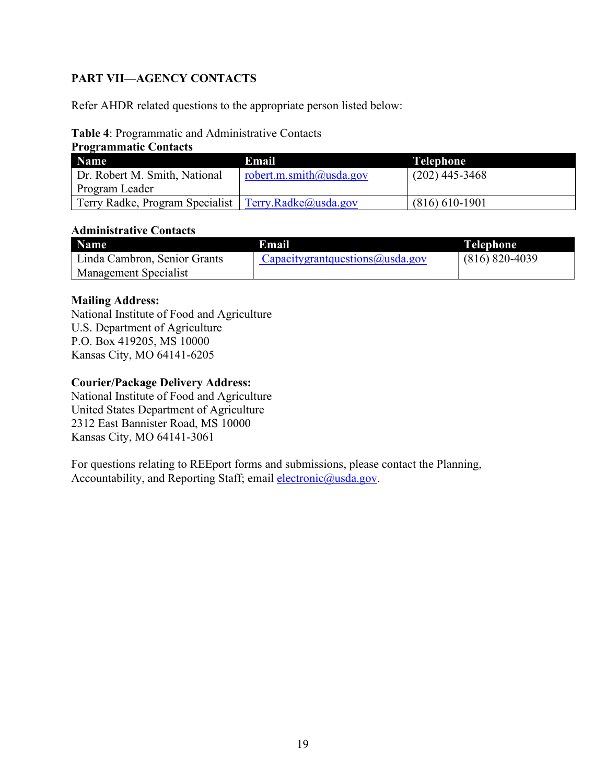#### <span id="page-18-0"></span>**PART VII—AGENCY CONTACTS**

Refer AHDR related questions to the appropriate person listed below:

#### <span id="page-18-1"></span>**Table 4**: Programmatic and Administrative Contacts

| <b>Programmatic Contacts</b>                           |                         |                  |
|--------------------------------------------------------|-------------------------|------------------|
| <b>Name</b>                                            | Email                   | <b>Telephone</b> |
| Dr. Robert M. Smith, National                          | robert.m.smith@usda.gov | $(202)$ 445-3468 |
| Program Leader                                         |                         |                  |
| Terry Radke, Program Specialist   Terry.Radke@usda.gov |                         | $(816)$ 610-1901 |

#### **Administrative Contacts**

| <b>Name</b>                  | Email                              | <b>Telephone</b>   |
|------------------------------|------------------------------------|--------------------|
| Linda Cambron, Senior Grants | $Capacity$ grantquestions@usda.gov | $(816) 820 - 4039$ |
| <b>Management Specialist</b> |                                    |                    |

#### **Mailing Address:**

National Institute of Food and Agriculture U.S. Department of Agriculture P.O. Box 419205, MS 10000 Kansas City, MO 64141-6205

#### **Courier/Package Delivery Address:**

National Institute of Food and Agriculture United States Department of Agriculture 2312 East Bannister Road, MS 10000 Kansas City, MO 64141-3061

For questions relating to REEport forms and submissions, please contact the Planning, Accountability, and Reporting Staff; email [electronic@usda.gov.](mailto:electronic@usda.gov)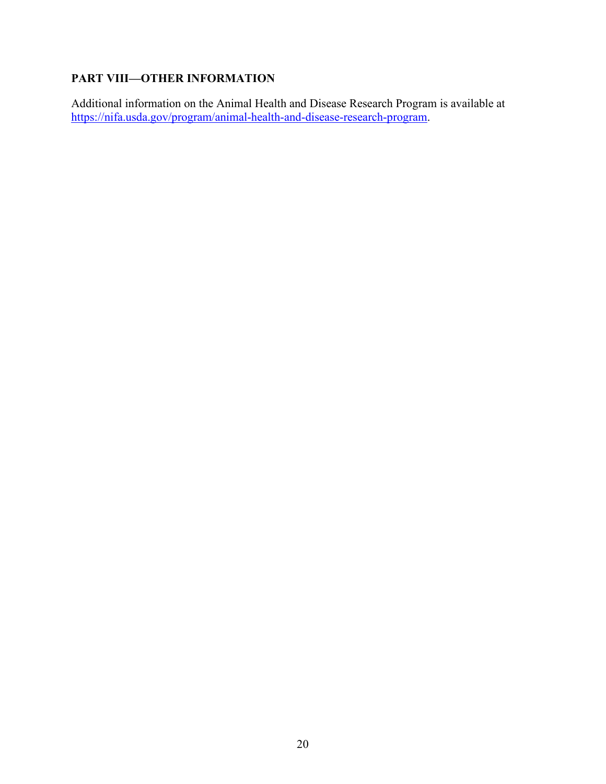#### <span id="page-19-0"></span>**PART VIII—OTHER INFORMATION**

Additional information on the Animal Health and Disease Research Program is available at [https://nifa.usda.gov/program/animal-health-and-disease-research-program.](https://nifa.usda.gov/program/animal-health-and-disease-research-program)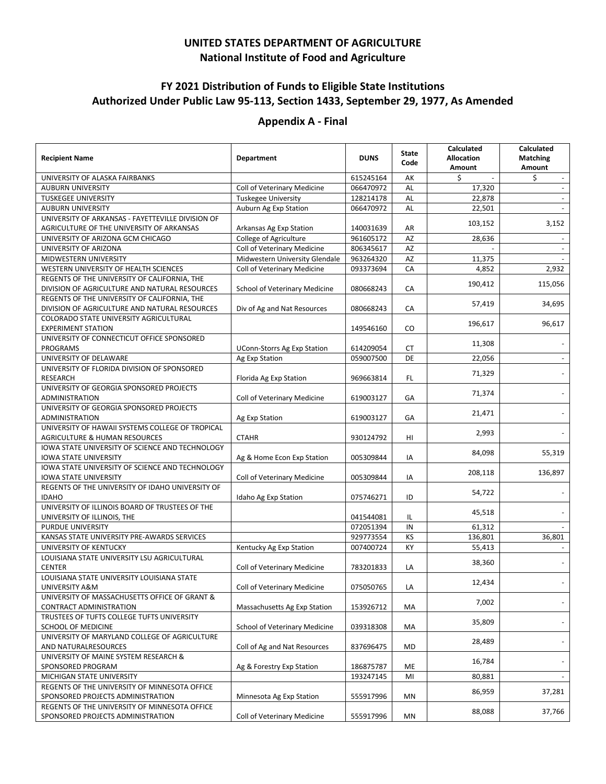#### **UNITED STATES DEPARTMENT OF AGRICULTURE National Institute of Food and Agriculture**

#### <span id="page-20-0"></span>**FY 2021 Distribution of Funds to Eligible State Institutions Authorized Under Public Law 95-113, Section 1433, September 29, 1977, As Amended**

#### **Appendix A - Final**

| <b>Recipient Name</b>                                                     | <b>Department</b>                  | <b>DUNS</b> | <b>State</b><br>Code | Calculated<br><b>Allocation</b><br>Amount | Calculated<br><b>Matching</b><br>Amount |
|---------------------------------------------------------------------------|------------------------------------|-------------|----------------------|-------------------------------------------|-----------------------------------------|
| UNIVERSITY OF ALASKA FAIRBANKS                                            |                                    | 615245164   | АK                   | \$                                        | \$                                      |
| <b>AUBURN UNIVERSITY</b>                                                  | Coll of Veterinary Medicine        | 066470972   | AL                   | 17,320                                    | $\omega$                                |
| <b>TUSKEGEE UNIVERSITY</b>                                                | <b>Tuskegee University</b>         | 128214178   | AL                   | 22,878                                    |                                         |
| <b>AUBURN UNIVERSITY</b>                                                  | Auburn Ag Exp Station              | 066470972   | AL                   | 22,501                                    |                                         |
| UNIVERSITY OF ARKANSAS - FAYETTEVILLE DIVISION OF                         |                                    |             |                      | 103,152                                   | 3,152                                   |
| AGRICULTURE OF THE UNIVERSITY OF ARKANSAS                                 | Arkansas Ag Exp Station            | 140031639   | AR                   |                                           |                                         |
| UNIVERSITY OF ARIZONA GCM CHICAGO                                         | College of Agriculture             | 961605172   | AZ                   | 28,636                                    |                                         |
| UNIVERSITY OF ARIZONA                                                     | Coll of Veterinary Medicine        | 806345617   | AZ                   |                                           |                                         |
| MIDWESTERN UNIVERSITY                                                     | Midwestern University Glendale     | 963264320   | AZ                   | 11,375                                    |                                         |
| WESTERN UNIVERSITY OF HEALTH SCIENCES                                     | Coll of Veterinary Medicine        | 093373694   | CA                   | 4,852                                     | 2,932                                   |
| REGENTS OF THE UNIVERSITY OF CALIFORNIA, THE                              |                                    |             |                      | 190,412                                   | 115,056                                 |
| DIVISION OF AGRICULTURE AND NATURAL RESOURCES                             | School of Veterinary Medicine      | 080668243   | CA                   |                                           |                                         |
| REGENTS OF THE UNIVERSITY OF CALIFORNIA, THE                              |                                    |             |                      | 57,419                                    | 34,695                                  |
| DIVISION OF AGRICULTURE AND NATURAL RESOURCES                             | Div of Ag and Nat Resources        | 080668243   | CA                   |                                           |                                         |
| COLORADO STATE UNIVERSITY AGRICULTURAL                                    |                                    |             |                      | 196,617                                   | 96,617                                  |
| <b>EXPERIMENT STATION</b>                                                 |                                    | 149546160   | CO                   |                                           |                                         |
| UNIVERSITY OF CONNECTICUT OFFICE SPONSORED                                |                                    |             |                      | 11,308                                    |                                         |
| <b>PROGRAMS</b>                                                           | <b>UConn-Storrs Ag Exp Station</b> | 614209054   | <b>CT</b>            |                                           |                                         |
| UNIVERSITY OF DELAWARE                                                    | Ag Exp Station                     | 059007500   | DE                   | 22,056                                    |                                         |
| UNIVERSITY OF FLORIDA DIVISION OF SPONSORED                               |                                    |             |                      | 71,329                                    |                                         |
| <b>RESEARCH</b>                                                           | Florida Ag Exp Station             | 969663814   | FL                   |                                           |                                         |
| UNIVERSITY OF GEORGIA SPONSORED PROJECTS                                  |                                    |             |                      | 71,374                                    |                                         |
| ADMINISTRATION                                                            | Coll of Veterinary Medicine        | 619003127   | GA                   |                                           |                                         |
| UNIVERSITY OF GEORGIA SPONSORED PROJECTS                                  |                                    |             |                      | 21,471                                    |                                         |
| <b>ADMINISTRATION</b><br>UNIVERSITY OF HAWAII SYSTEMS COLLEGE OF TROPICAL | Ag Exp Station                     | 619003127   | GA                   |                                           |                                         |
| AGRICULTURE & HUMAN RESOURCES                                             | <b>CTAHR</b>                       | 930124792   | HI                   | 2,993                                     |                                         |
| IOWA STATE UNIVERSITY OF SCIENCE AND TECHNOLOGY                           |                                    |             |                      |                                           |                                         |
| <b>IOWA STATE UNIVERSITY</b>                                              | Ag & Home Econ Exp Station         | 005309844   | IA                   | 84,098                                    | 55,319                                  |
| IOWA STATE UNIVERSITY OF SCIENCE AND TECHNOLOGY                           |                                    |             |                      |                                           |                                         |
| <b>IOWA STATE UNIVERSITY</b>                                              | Coll of Veterinary Medicine        | 005309844   | IA                   | 208,118                                   | 136,897                                 |
| REGENTS OF THE UNIVERSITY OF IDAHO UNIVERSITY OF                          |                                    |             |                      |                                           |                                         |
| <b>IDAHO</b>                                                              | Idaho Ag Exp Station               | 075746271   | ID                   | 54,722                                    |                                         |
| UNIVERSITY OF ILLINOIS BOARD OF TRUSTEES OF THE                           |                                    |             |                      |                                           |                                         |
| UNIVERSITY OF ILLINOIS, THE                                               |                                    | 041544081   | IL                   | 45,518                                    |                                         |
| PURDUE UNIVERSITY                                                         |                                    | 072051394   | IN                   | 61,312                                    |                                         |
| KANSAS STATE UNIVERSITY PRE-AWARDS SERVICES                               |                                    | 929773554   | KS                   | 136,801                                   | 36,801                                  |
| UNIVERSITY OF KENTUCKY                                                    | Kentucky Ag Exp Station            | 007400724   | KY                   | 55,413                                    |                                         |
| LOUISIANA STATE UNIVERSITY LSU AGRICULTURAL                               |                                    |             |                      |                                           |                                         |
| <b>CENTER</b>                                                             | Coll of Veterinary Medicine        | 783201833   | LA                   | 38,360                                    |                                         |
| LOUISIANA STATE UNIVERSITY LOUISIANA STATE                                |                                    |             |                      |                                           |                                         |
| UNIVERSITY A&M                                                            | Coll of Veterinary Medicine        | 075050765   | LA                   | 12,434                                    |                                         |
| UNIVERSITY OF MASSACHUSETTS OFFICE OF GRANT &                             |                                    |             |                      | 7,002                                     |                                         |
| CONTRACT ADMINISTRATION                                                   | Massachusetts Ag Exp Station       | 153926712   | MA                   |                                           |                                         |
| TRUSTEES OF TUFTS COLLEGE TUFTS UNIVERSITY                                |                                    |             |                      | 35,809                                    |                                         |
| SCHOOL OF MEDICINE                                                        | School of Veterinary Medicine      | 039318308   | MA                   |                                           |                                         |
| UNIVERSITY OF MARYLAND COLLEGE OF AGRICULTURE                             |                                    |             |                      | 28,489                                    |                                         |
| AND NATURALRESOURCES                                                      | Coll of Ag and Nat Resources       | 837696475   | MD                   |                                           |                                         |
| UNIVERSITY OF MAINE SYSTEM RESEARCH &                                     |                                    |             |                      | 16,784                                    |                                         |
| SPONSORED PROGRAM                                                         | Ag & Forestry Exp Station          | 186875787   | ME                   |                                           |                                         |
| MICHIGAN STATE UNIVERSITY                                                 |                                    | 193247145   | MI                   | 80,881                                    |                                         |
| REGENTS OF THE UNIVERSITY OF MINNESOTA OFFICE                             |                                    |             |                      | 86,959                                    | 37,281                                  |
| SPONSORED PROJECTS ADMINISTRATION                                         | Minnesota Ag Exp Station           | 555917996   | ΜN                   |                                           |                                         |
| REGENTS OF THE UNIVERSITY OF MINNESOTA OFFICE                             |                                    |             |                      | 88,088                                    | 37,766                                  |
| SPONSORED PROJECTS ADMINISTRATION                                         | Coll of Veterinary Medicine        | 555917996   | MN                   |                                           |                                         |